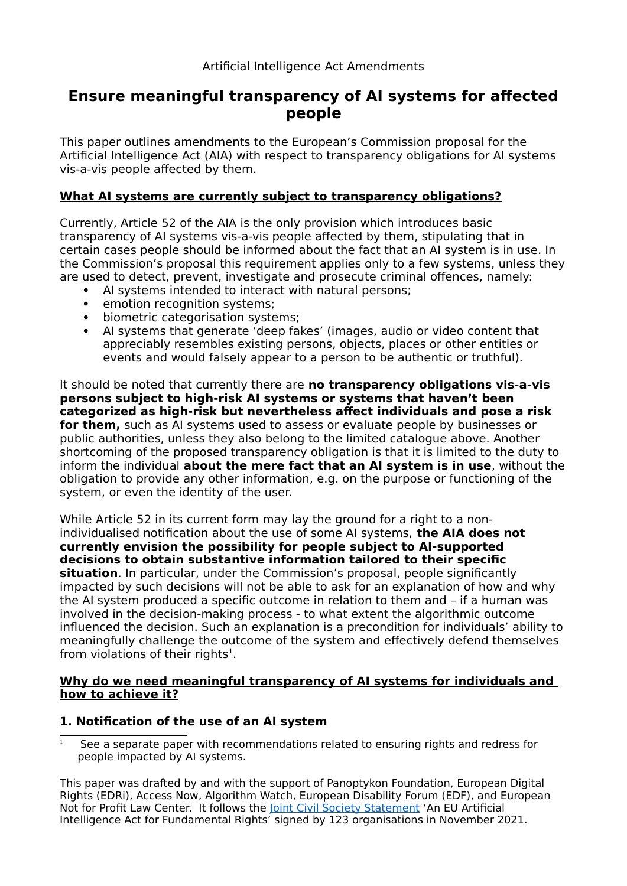# **Ensure meaningful transparency of AI systems for affected people**

This paper outlines amendments to the European's Commission proposal for the Artificial Intelligence Act (AIA) with respect to transparency obligations for AI systems vis-a-vis people affected by them.

### **What AI systems are currently subject to transparency obligations?**

Currently, Article 52 of the AIA is the only provision which introduces basic transparency of AI systems vis-a-vis people affected by them, stipulating that in certain cases people should be informed about the fact that an AI system is in use. In the Commission's proposal this requirement applies only to a few systems, unless they are used to detect, prevent, investigate and prosecute criminal offences, namely:

- AI systems intended to interact with natural persons;
- emotion recognition systems;
- biometric categorisation systems:
- AI systems that generate 'deep fakes' (images, audio or video content that appreciably resembles existing persons, objects, places or other entities or events and would falsely appear to a person to be authentic or truthful).

It should be noted that currently there are **no transparency obligations vis-a-vis persons subject to high-risk AI systems or systems that haven't been categorized as high-risk but nevertheless affect individuals and pose a risk for them,** such as AI systems used to assess or evaluate people by businesses or public authorities, unless they also belong to the limited catalogue above. Another shortcoming of the proposed transparency obligation is that it is limited to the duty to inform the individual **about the mere fact that an AI system is in use**, without the obligation to provide any other information, e.g. on the purpose or functioning of the system, or even the identity of the user.

While Article 52 in its current form may lay the ground for a right to a nonindividualised notification about the use of some AI systems, **the AIA does not currently envision the possibility for people subject to AI-supported decisions to obtain substantive information tailored to their specific situation**. In particular, under the Commission's proposal, people significantly impacted by such decisions will not be able to ask for an explanation of how and why the AI system produced a specific outcome in relation to them and – if a human was involved in the decision-making process - to what extent the algorithmic outcome influenced the decision. Such an explanation is a precondition for individuals' ability to meaningfully challenge the outcome of the system and effectively defend themselves from violations of their rights<sup>[1](#page-0-0)</sup>.

#### **Why do we need meaningful transparency of AI systems for individuals and how to achieve it?**

#### **1. Notification of the use of an AI system**

<span id="page-0-0"></span> $1 -$  See a separate paper with recommendations related to ensuring rights and redress for people impacted by AI systems.

This paper was drafted by and with the support of Panoptykon Foundation, European Digital Rights (EDRi), Access Now, Algorithm Watch, European Disability Forum (EDF), and European Not for Profit Law Center. It follows the **Joint Civil Society Statement** 'An EU Artificial Intelligence Act for Fundamental Rights' signed by 123 organisations in November 2021.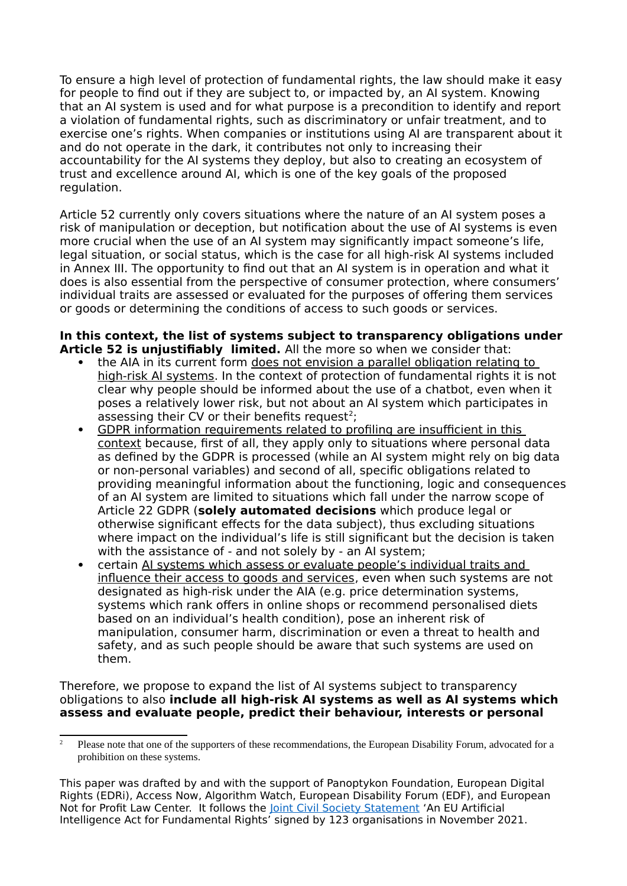To ensure a high level of protection of fundamental rights, the law should make it easy for people to find out if they are subject to, or impacted by, an AI system. Knowing that an AI system is used and for what purpose is a precondition to identify and report a violation of fundamental rights, such as discriminatory or unfair treatment, and to exercise one's rights. When companies or institutions using AI are transparent about it and do not operate in the dark, it contributes not only to increasing their accountability for the AI systems they deploy, but also to creating an ecosystem of trust and excellence around AI, which is one of the key goals of the proposed regulation.

Article 52 currently only covers situations where the nature of an AI system poses a risk of manipulation or deception, but notification about the use of AI systems is even more crucial when the use of an AI system may significantly impact someone's life, legal situation, or social status, which is the case for all high-risk AI systems included in Annex III. The opportunity to find out that an AI system is in operation and what it does is also essential from the perspective of consumer protection, where consumers' individual traits are assessed or evaluated for the purposes of offering them services or goods or determining the conditions of access to such goods or services.

#### **In this context, the list of systems subject to transparency obligations under Article 52 is unjustifiably limited.** All the more so when we consider that:

- the AIA in its current form does not envision a parallel obligation relating to high-risk AI systems. In the context of protection of fundamental rights it is not clear why people should be informed about the use of a chatbot, even when it poses a relatively lower risk, but not about an AI system which participates in assessing their CV or their benefits request<sup>[2](#page-1-0)</sup>;
- GDPR information requirements related to profiling are insufficient in this context because, first of all, they apply only to situations where personal data as defined by the GDPR is processed (while an AI system might rely on big data or non-personal variables) and second of all, specific obligations related to providing meaningful information about the functioning, logic and consequences of an AI system are limited to situations which fall under the narrow scope of Article 22 GDPR (**solely automated decisions** which produce legal or otherwise significant effects for the data subject), thus excluding situations where impact on the individual's life is still significant but the decision is taken with the assistance of - and not solely by - an AI system;
- certain AI systems which assess or evaluate people's individual traits and influence their access to goods and services, even when such systems are not designated as high-risk under the AIA (e.g. price determination systems, systems which rank offers in online shops or recommend personalised diets based on an individual's health condition), pose an inherent risk of manipulation, consumer harm, discrimination or even a threat to health and safety, and as such people should be aware that such systems are used on them.

Therefore, we propose to expand the list of AI systems subject to transparency obligations to also **include all high-risk AI systems as well as AI systems which assess and evaluate people, predict their behaviour, interests or personal** 

<span id="page-1-0"></span><sup>&</sup>lt;sup>2</sup> Please note that one of the supporters of these recommendations, the European Disability Forum, advocated for a prohibition on these systems.

This paper was drafted by and with the support of Panoptykon Foundation, European Digital Rights (EDRi), Access Now, Algorithm Watch, European Disability Forum (EDF), and European Not for Profit Law Center. It follows the [Joint Civil Society Statement](https://edri.org/our-work/civil-society-calls-on-the-eu-to-put-fundamental-rights-first-in-the-ai-act/) 'An EU Artificial Intelligence Act for Fundamental Rights' signed by 123 organisations in November 2021.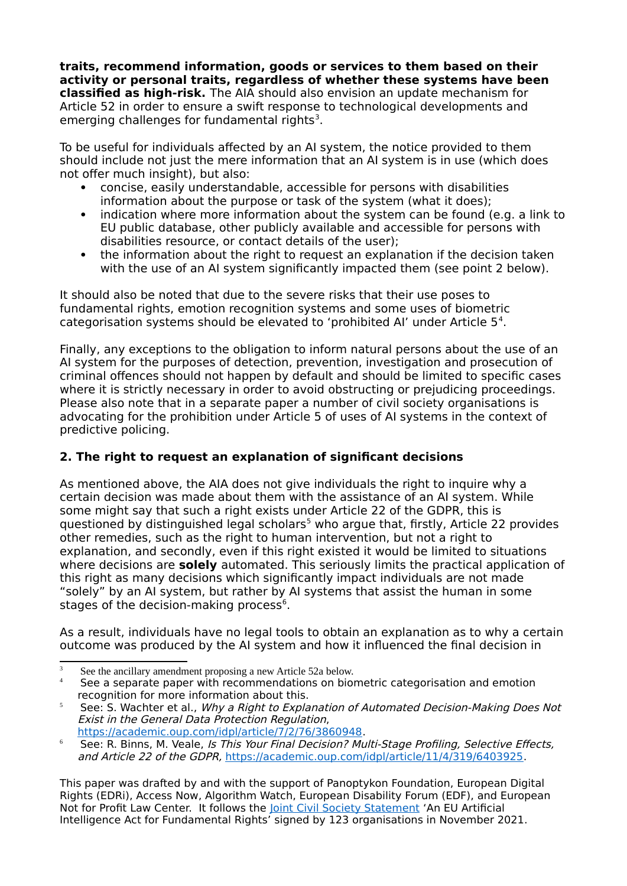**traits, recommend information, goods or services to them based on their activity or personal traits, regardless of whether these systems have been classified as high-risk.** The AIA should also envision an update mechanism for Article 52 in order to ensure a swift response to technological developments and emerging challenges for fundamental rights<sup>[3](#page-2-0)</sup>.

To be useful for individuals affected by an AI system, the notice provided to them should include not just the mere information that an AI system is in use (which does not offer much insight), but also:

- concise, easily understandable, accessible for persons with disabilities information about the purpose or task of the system (what it does);
- indication where more information about the system can be found (e.g. a link to EU public database, other publicly available and accessible for persons with disabilities resource, or contact details of the user);
- the information about the right to request an explanation if the decision taken with the use of an AI system significantly impacted them (see point 2 below).

It should also be noted that due to the severe risks that their use poses to fundamental rights, emotion recognition systems and some uses of biometric categorisation systems should be elevated to 'prohibited AI' under Article 5<sup>[4](#page-2-1)</sup>.

Finally, any exceptions to the obligation to inform natural persons about the use of an AI system for the purposes of detection, prevention, investigation and prosecution of criminal offences should not happen by default and should be limited to specific cases where it is strictly necessary in order to avoid obstructing or prejudicing proceedings. Please also note that in a separate paper a number of civil society organisations is advocating for the prohibition under Article 5 of uses of AI systems in the context of predictive policing.

## **2. The right to request an explanation of significant decisions**

As mentioned above, the AIA does not give individuals the right to inquire why a certain decision was made about them with the assistance of an AI system. While some might say that such a right exists under Article 22 of the GDPR, this is questioned by distinguished legal scholars<sup>[5](#page-2-2)</sup> who argue that, firstly, Article 22 provides other remedies, such as the right to human intervention, but not a right to explanation, and secondly, even if this right existed it would be limited to situations where decisions are **solely** automated. This seriously limits the practical application of this right as many decisions which significantly impact individuals are not made "solely" by an AI system, but rather by AI systems that assist the human in some stages of the decision-making process<sup>[6](#page-2-3)</sup>.

As a result, individuals have no legal tools to obtain an explanation as to why a certain outcome was produced by the AI system and how it influenced the final decision in

<span id="page-2-0"></span> $3$  See the ancillary amendment proposing a new Article 52a below.

<span id="page-2-1"></span>See a separate paper with recommendations on biometric categorisation and emotion recognition for more information about this.

<span id="page-2-2"></span><sup>&</sup>lt;sup>5</sup> See: S. Wachter et al., Why a Right to Explanation of Automated Decision-Making Does Not Exist in the General Data Protection Regulation, <https://academic.oup.com/idpl/article/7/2/76/3860948>.

<span id="page-2-3"></span> $6$  See: R. Binns, M. Veale, Is This Your Final Decision? Multi-Stage Profiling, Selective Effects, and Article 22 of the GDPR, <https://academic.oup.com/idpl/article/11/4/319/6403925>.

This paper was drafted by and with the support of Panoptykon Foundation, European Digital Rights (EDRi), Access Now, Algorithm Watch, European Disability Forum (EDF), and European Not for Profit Law Center. It follows the **Joint Civil Society Statement** 'An EU Artificial Intelligence Act for Fundamental Rights' signed by 123 organisations in November 2021.